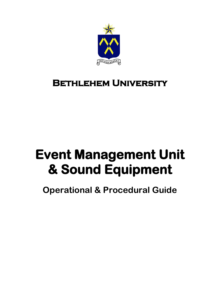

## **Bethlehem University**

# **Event Management Unit & Sound Equipment**

**Operational & Procedural Guide**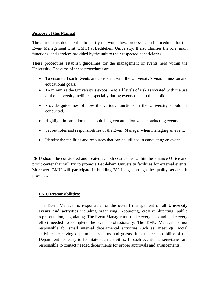#### **Purpose of this Manual**

The aim of this document is to clarify the work flow, processes, and procedures for the Event Management Unit (EMU) at Bethlehem University. It also clarifies the role, main functions, and services provided by the unit to their respected beneficiaries.

These procedures establish guidelines for the management of events held within the University. The aims of these procedures are:

- To ensure all such Events are consistent with the University's vision, mission and educational goals.
- To minimize the University's exposure to all levels of risk associated with the use of the University facilities especially during events open to the public.
- Provide guidelines of how the various functions in the University should be conducted.
- Highlight information that should be given attention when conducting events.
- Set out roles and responsibilities of the Event Manager when managing an event.
- Identify the facilities and resources that can be utilized in conducting an event.

EMU should be considered and treated as both cost center within the Finance Office and profit center that will try to promote Bethlehem University facilities for external events. Moreover, EMU will participate in building BU image through the quality services it provides.

#### **EMU Responsibilities:**

The Event Manager is responsible for the overall management of **all University events and activities** including organizing, resourcing, creative directing, public representation, negotiating. The Event Manager must take every step and make every effort needed to complete the event professionally. The EMU Manager is not responsible for small internal departmental activities such as: meetings, social activities, receiving departments visitors and guests. It is the responsibility of the Department secretary to facilitate such activities. In such events the secretaries are responsible to contact needed departments for proper approvals and arrangements.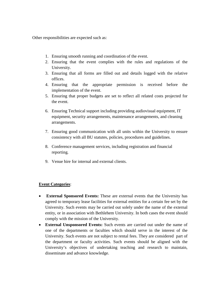Other responsibilities are expected such as:

- 1. Ensuring smooth running and coordination of the event.
- 2. Ensuring that the event complies with the rules and regulations of the University.
- 3. Ensuring that all forms are filled out and details logged with the relative offices.
- 4. Ensuring that the appropriate permission is received before the implementation of the event.
- 5. Ensuring that proper budgets are set to reflect all related costs projected for the event.
- 6. Ensuring Technical support including providing audiovisual equipment, IT equipment, security arrangements, maintenance arrangements, and cleaning arrangements.
- 7. Ensuring good communication with all units within the University to ensure consistency with all BU statutes, policies, procedures and guidelines.
- 8. Conference management services, including registration and financial reporting.
- 9. Venue hire for internal and external clients.

#### **Event Categories**:

- **External Sponsored Events:** These are external events that the University has agreed to temporary lease facilities for external entities for a certain fee set by the University. Such events may be carried out solely under the name of the external entity, or in association with Bethlehem University. In both cases the event should comply with the mission of the University.
- **External Unsponsored Events:** Such events are carried out under the name of one of the departments or faculties which should serve in the interest of the University. Such events are not subject to rental fees. They are considered part of the department or faculty activities. Such events should be aligned with the University's objectives of undertaking teaching and research to maintain, disseminate and advance knowledge.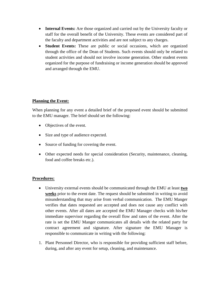- **Internal Events:** Are those organized and carried out by the University faculty or staff for the overall benefit of the University. These events are considered part of the faculty and department activities and are not subject to any charges.
- **Student Events:** These are public or social occasions, which are organized through the office of the Dean of Students. Such events should only be related to student activities and should not involve income generation. Other student events organized for the purpose of fundraising or income generation should be approved and arranged through the EMU.

#### **Planning the Event:**

When planning for any event a detailed brief of the proposed event should be submitted to the EMU manager. The brief should set the following:

- Objectives of the event.
- Size and type of audience expected.
- Source of funding for covering the event.
- Other expected needs for special consideration (Security, maintenance, cleaning, food and coffee breaks etc.).

#### **Procedures:**

- University external events should be communicated through the EMU at least **two weeks** prior to the event date. The request should be submitted in writing to avoid misunderstanding that may arise from verbal communication. The EMU Manger verifies that dates requested are accepted and does not cause any conflict with other events. After all dates are accepted the EMU Manager checks with his/her immediate supervisor regarding the overall flow and rates of the event. After the rate is set the EMU Manger communicates all details with the related party for contract agreement and signature. After signature the EMU Manager is responsible to communicate in writing with the following:
- 1. Plant Personnel Director, who is responsible for providing sufficient staff before, during, and after any event for setup, cleaning, and maintenance.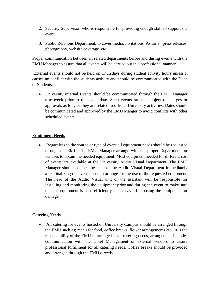- 2. Security Supervisor, who is responsible for providing enough staff to support the event.
- 3. Public Relations Department, to cover media, invitations, Ashur's, press releases, photography, website coverage etc…

Proper communication between all related departments before and during events with the EMU Manager to assure that all events will be carried out in a professional manner.

External events should not be held on Thursdays during student activity hours unless it causes no conflict with the students activity and should be communicated with the Dean of Students.

• University internal Events should be communicated through the EMU Manager **one week** prior to the event date. Such events are not subject to charges or approvals as long as they are related to official University activities. Dates should be communicated and approved by the EMU Manger to avoid conflicts with other scheduled events.

#### **Equipment Needs**

• Regardless to the source or type of event all equipment needs should be requested through the EMU. The EMU Manager arrange with the proper Departments or vendors to obtain the needed equipment. Most equipment needed for different sort of events are available at the University Audio Visual Department. The EMU Manager should contact the head of the Audio Visual Department immediately after finalizing the event needs to arrange for the use of the requested equipment. The head of the Audio Visual unit or the assistant will be responsible for installing and monitoring the equipment prior and during the event to make sure that the equipment is used efficiently, and to avoid exposing the equipment for damage.

#### **Catering Needs**

• All catering for events hosted on University Campus should be arranged through the EMU such as; menu for food, coffee breaks, flower arrangements etc., it is the responsibility of the EMU to arrange for all catering needs, arrangement includes communication with the Hotel Management or external vendors to assure professional fulfillment for all catering needs. Coffee breaks should be provided and arranged through the EMU directly.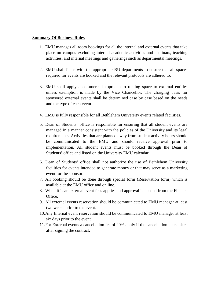#### **Summary Of Business Rules**

- 1. EMU manages all room bookings for all the internal and external events that take place on campus excluding internal academic activities and seminars, teaching activities, and internal meetings and gatherings such as departmental meetings.
- 2. EMU shall liaise with the appropriate BU departments to ensure that all spaces required for events are booked and the relevant protocols are adhered to.
- 3. EMU shall apply a commercial approach to renting space to external entities unless exemption is made by the Vice Chancellor. The charging basis for sponsored external events shall be determined case by case based on the needs and the type of each event.
- 4. EMU is fully responsible for all Bethlehem University events related facilities.
- 5. Dean of Students' office is responsible for ensuring that all student events are managed in a manner consistent with the policies of the University and its legal requirements. Activities that are planned away from student activity hours should be communicated to the EMU and should receive approval prior to implementation. All student events must be booked through the Dean of Students' office and listed on the University EMU calendar.
- 6. Dean of Students' office shall not authorize the use of Bethlehem University facilities for events intended to generate money or that may serve as a marketing event for the sponsor.
- 7. All booking should be done through special form (Reservation form) which is available at the EMU office and on line.
- 8. When it is an external event fees applies and approval is needed from the Finance Office.
- 9. All external events reservation should be communicated to EMU manager at least two weeks prior to the event.
- 10.Any Internal event reservation should be communicated to EMU manager at least six days prior to the event.
- 11.For External events a cancellation fee of 20% apply if the cancellation takes place after signing the contract.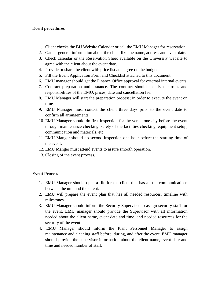#### **Event procedures**

- 1. Client checks the BU Website Calendar or call the EMU Manager for reservation.
- 2. Gather general information about the client like the name, address and event date.
- 3. Check calendar or the Reservation Sheet available on the University website to agree with the client about the event date.
- 4. Provide or share the client with price list and agree on the budget.
- 5. Fill the Event Application Form and Checklist attached to this document.
- 6. EMU manager should get the Finance Office approval for external internal events.
- 7. Contract preparation and issuance. The contract should specify the roles and responsibilities of the EMU, prices, date and cancellation fee.
- 8. EMU Manager will start the preparation process; in order to execute the event on time.
- 9. EMU Manager must contact the client three days prior to the event date to confirm all arrangements.
- 10. EMU Manager should do first inspection for the venue one day before the event through maintenance checking, safety of the facilities checking, equipment setup, communication and materials, etc.
- 11. EMU Manger should do second inspection one hour before the starting time of the event.
- 12. EMU Manger must attend events to assure smooth operation.
- 13. Closing of the event process.

#### **Event Process**

- 1. EMU Manager should open a file for the client that has all the communications between the unit and the client.
- 2. EMU will prepare the event plan that has all needed resources, timeline with milestones.
- 3. EMU Manager should inform the Security Supervisor to assign security staff for the event. EMU manager should provide the Supervisor with all information needed about the client name, event date and time, and needed resources for the security of the event.
- 4. EMU Manager should inform the Plant Personnel Manager to assign maintenance and cleaning staff before, during, and after the event. EMU manager should provide the supervisor information about the client name, event date and time and needed number of staff.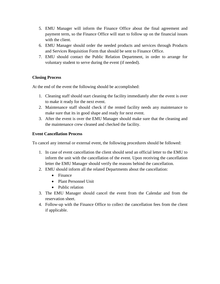- 5. EMU Manager will inform the Finance Office about the final agreement and payment term, so the Finance Office will start to follow up on the financial issues with the client.
- 6. EMU Manager should order the needed products and services through Products and Services Requisition Form that should be sent to Finance Office.
- 7. EMU should contact the Public Relation Department, in order to arrange for voluntary student to serve during the event (if needed).

#### **Closing Process**

At the end of the event the following should be accomplished:

- 1. Cleaning staff should start cleaning the facility immediately after the event is over to make it ready for the next event.
- 2. Maintenance staff should check if the rented facility needs any maintenance to make sure that its in good shape and ready for next event.
- 3. After the event is over the EMU Manager should make sure that the cleaning and the maintenance crew cleaned and checked the facility.

#### **Event Cancellation Process**

To cancel any internal or external event, the following procedures should be followed:

- 1. In case of event cancellation the client should send an official letter to the EMU to inform the unit with the cancellation of the event. Upon receiving the cancellation letter the EMU Manager should verify the reasons behind the cancellation.
- 2. EMU should inform all the related Departments about the cancellation:
	- Finance
	- Plant Personnel Unit
	- Public relation
- 3. The EMU Manager should cancel the event from the Calendar and from the reservation sheet.
- 4. Follow-up with the Finance Office to collect the cancellation fees from the client if applicable.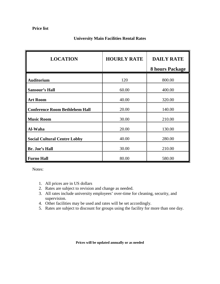| <b>LOCATION</b>                       | <b>HOURLY RATE</b> | <b>DAILY RATE</b><br>8 hours Package |
|---------------------------------------|--------------------|--------------------------------------|
| <b>Auditorium</b>                     | 120                | 800.00                               |
| <b>Sansour's Hall</b>                 | 60.00              | 400.00                               |
| <b>Art Room</b>                       | 40.00              | 320.00                               |
| <b>Conference Room Bethlehem Hall</b> | 20.00              | 140.00                               |
| <b>Music Room</b>                     | 30.00              | 210.00                               |
| Al-Waha                               | 20.00              | 130.00                               |
| <b>Social Cultural Centre Lobby</b>   | 40.00              | 280.00                               |
| Br. Joe's Hall                        | 30.00              | 210.00                               |
| <b>Furno Hall</b>                     | 80.00              | 580.00                               |

#### **University Main Facilities Rental Rates**

Notes:

- 1. All prices are in US dollars
- 2. Rates are subject to revision and change as needed.
- 3. All rates include university employees' over-time for cleaning, security, and supervision.
- 4. Other facilities may be used and rates will be set accordingly.
- 5. Rates are subject to discount for groups using the facility for more than one day.

**Prices will be updated annually or as needed**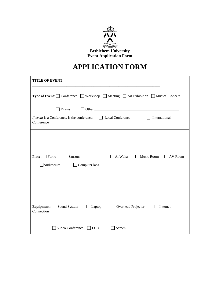

## **APPLICATION FORM**

| <b>TITLE OF EVENT:</b>                                                                                                            |  |  |  |  |
|-----------------------------------------------------------------------------------------------------------------------------------|--|--|--|--|
| <b>Type of Event:</b> $\Box$ Conference $\Box$ Workshop $\Box$ Meeting $\Box$ Art Exhibition $\Box$ Musical Concert               |  |  |  |  |
| Exams                                                                                                                             |  |  |  |  |
| <i>If event</i> is a Conference, is the conference: $\Box$ Local Conference<br>International<br>$\Box$<br>Conference              |  |  |  |  |
| Music Room<br><b>Place:</b> $\Box$ Furno<br>Sansour<br>Al Waha<br><b>AV</b> Room<br>$\perp$<br>Auditorium<br>$\Box$ Computer labs |  |  |  |  |
| Equipment: $\Box$ Sound System<br>Overhead Projector<br>$\Box$ Laptop<br>Internet<br>$\Box$<br>Connection                         |  |  |  |  |
| Video Conference<br>$ $ LCD<br>Screen                                                                                             |  |  |  |  |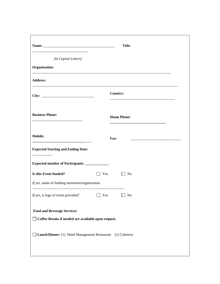| <u> 1980 - Johann Barbara, martin da kasar Amerikaan kasar da</u>                           | <b>Title:</b>      |  |  |
|---------------------------------------------------------------------------------------------|--------------------|--|--|
| (In Capital Letters)                                                                        |                    |  |  |
| Organization:                                                                               |                    |  |  |
| <b>Address:</b>                                                                             |                    |  |  |
|                                                                                             | <b>Country:</b>    |  |  |
| <b>Business Phone:</b>                                                                      | <b>Home Phone:</b> |  |  |
| <b>Mobile:</b>                                                                              | Fax:               |  |  |
| <b>Expected Starting and Ending Date:</b>                                                   |                    |  |  |
|                                                                                             |                    |  |  |
| Is this Event funded?                                                                       | Yes<br>$\Box$ No   |  |  |
| If yes, name of funding institution/organization                                            |                    |  |  |
| <i>If yes</i> , is logo of event provided? $\Box$ Yes                                       | $\Box$ No          |  |  |
| <b>Food and Beverage Services:</b><br>□ Coffee Breaks if needed are available upon request. |                    |  |  |
| Lunch/Dinner: (1) Hotel Management Restaurant (2) Cafeteria                                 |                    |  |  |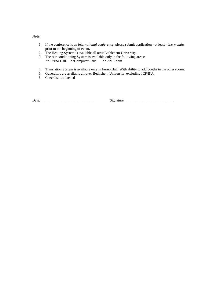#### **Note:**

- 1. If the conference is an *international conference*, please submit application at least *two months* prior to the beginning of event.
- 2. The Heating System is available all over Bethlehem University.
- 3. The Air-conditioning System is available only in the following areas: \*\* Furno Hall \*\*Computer Labs \*\* AV Room
- 4. Translation System is available only in Furno Hall. With ability to add booths in the other rooms.
- 5. Generators are available all over Bethlehem University, excluding ICP/BU.
- 6. Checklist is attached

Date: \_\_\_\_\_\_\_\_\_\_\_\_\_\_\_\_\_\_\_\_\_\_\_\_\_\_\_\_\_ Signature: \_\_\_\_\_\_\_\_\_\_\_\_\_\_\_\_\_\_\_\_\_\_\_\_\_\_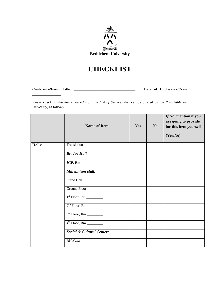

### **CHECKLIST**

**\_\_\_\_\_\_\_\_\_\_\_\_\_\_\_\_**

**Conference/Event Title: \_\_\_\_\_\_\_\_\_\_\_\_\_\_\_\_\_\_\_\_\_\_\_\_\_\_\_\_\_\_\_\_\_\_ Date of Conference/Event** 

Please **check √** the items *needed* from the *List of Services* that can be offered by the *ICP/Bethlehem University*, as follows:

|               | <b>Name of Item</b>                  | Yes | N <sub>o</sub> | If No, mention if you<br>are going to provide<br>for this item yourself<br>(Yes/No) |
|---------------|--------------------------------------|-----|----------------|-------------------------------------------------------------------------------------|
| <b>Halls:</b> | Translation                          |     |                |                                                                                     |
|               | <b>Br.</b> Joe Hall                  |     |                |                                                                                     |
|               |                                      |     |                |                                                                                     |
|               | Millennium Hall:                     |     |                |                                                                                     |
|               | Furno Hall                           |     |                |                                                                                     |
|               | <b>Ground Floor</b>                  |     |                |                                                                                     |
|               |                                      |     |                |                                                                                     |
|               | $2nd$ Floor, Rm ________             |     |                |                                                                                     |
|               | $3rd$ Floor, Rm                      |     |                |                                                                                     |
|               |                                      |     |                |                                                                                     |
|               | <b>Social &amp; Cultural Center:</b> |     |                |                                                                                     |
|               | Al-Waha                              |     |                |                                                                                     |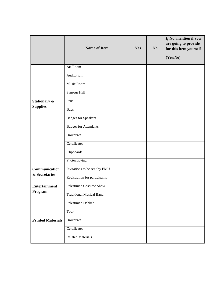|                                 | <b>Name of Item</b>             | Yes | N <sub>0</sub> | If No, mention if you<br>are going to provide<br>for this item yourself<br>(Yes/No) |
|---------------------------------|---------------------------------|-----|----------------|-------------------------------------------------------------------------------------|
|                                 | Art Room                        |     |                |                                                                                     |
|                                 | Auditorium                      |     |                |                                                                                     |
|                                 | Music Room                      |     |                |                                                                                     |
|                                 | Sansour Hall                    |     |                |                                                                                     |
| Stationary &                    | Pens                            |     |                |                                                                                     |
| <b>Supplies</b>                 | <b>Bags</b>                     |     |                |                                                                                     |
|                                 | <b>Badges for Speakers</b>      |     |                |                                                                                     |
|                                 | <b>Badges for Attendants</b>    |     |                |                                                                                     |
|                                 | <b>Brochures</b>                |     |                |                                                                                     |
|                                 | Certificates                    |     |                |                                                                                     |
|                                 | Clipboards                      |     |                |                                                                                     |
|                                 | Photocopying                    |     |                |                                                                                     |
| Communication<br>& Secretaries  | Invitations to be sent by EMU   |     |                |                                                                                     |
|                                 | Registration for participants   |     |                |                                                                                     |
| <b>Entertainment</b><br>Program | <b>Palestinian Costume Show</b> |     |                |                                                                                     |
|                                 | <b>Traditional Musical Band</b> |     |                |                                                                                     |
|                                 | Palestinian Dabkeh              |     |                |                                                                                     |
|                                 | Tour                            |     |                |                                                                                     |
| <b>Printed Materials</b>        | <b>Brochures</b>                |     |                |                                                                                     |
|                                 | Certificates                    |     |                |                                                                                     |
|                                 | <b>Related Materials</b>        |     |                |                                                                                     |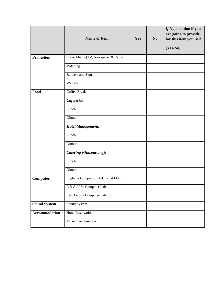|                      | <b>Name of Item</b>                  | Yes | N <sub>0</sub> | If No, mention if you<br>are going to provide<br>for this item yourself |
|----------------------|--------------------------------------|-----|----------------|-------------------------------------------------------------------------|
|                      |                                      |     |                | (Yes/No)                                                                |
| <b>Promotion</b>     | Press, Media (TV, Newspaper & Radio) |     |                |                                                                         |
|                      | Videoing                             |     |                |                                                                         |
|                      | <b>Banners</b> and Signs             |     |                |                                                                         |
|                      | Website                              |     |                |                                                                         |
| Food                 | <b>Coffee Breaks</b>                 |     |                |                                                                         |
|                      | Cafeteria:                           |     |                |                                                                         |
|                      | Lunch                                |     |                |                                                                         |
|                      | Dinner                               |     |                |                                                                         |
|                      | <b>Hotel Management:</b>             |     |                |                                                                         |
|                      | Lunch                                |     |                |                                                                         |
|                      | Dinner                               |     |                |                                                                         |
|                      | Catering (Outsourcing):              |     |                |                                                                         |
|                      | Lunch                                |     |                |                                                                         |
|                      | Dinner                               |     |                |                                                                         |
| Computer             | Füglister Computer Lab/Ground Floor  |     |                |                                                                         |
|                      | Lab A-108 / Computer Lab             |     |                |                                                                         |
|                      | Lab A-260 / Computer Lab             |     |                |                                                                         |
| <b>Sound System</b>  | Sound System                         |     |                |                                                                         |
| <b>Accommodation</b> | <b>Hotel Reservation</b>             |     |                |                                                                         |
|                      | <b>Ticket Confirmation</b>           |     |                |                                                                         |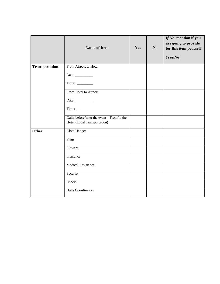|                | <b>Name of Item</b>                                                        | Yes | N <sub>0</sub> | If No, mention if you<br>are going to provide<br>for this item yourself<br>(Yes/No) |
|----------------|----------------------------------------------------------------------------|-----|----------------|-------------------------------------------------------------------------------------|
| Transportation | From Airport to Hotel                                                      |     |                |                                                                                     |
|                | Date: $\frac{1}{\sqrt{1-\frac{1}{2}}\cdot\frac{1}{2}}$                     |     |                |                                                                                     |
|                |                                                                            |     |                |                                                                                     |
|                | From Hotel to Airport                                                      |     |                |                                                                                     |
|                | Date: $\frac{1}{\sqrt{1-\frac{1}{2}}\cdot\frac{1}{2}}$                     |     |                |                                                                                     |
|                | Time: $\frac{1}{\sqrt{1-\frac{1}{2}}\cdot\frac{1}{\sqrt{1-\frac{1}{2}}}}$  |     |                |                                                                                     |
|                | Daily before/after the event - From/to the<br>Hotel (Local Transportation) |     |                |                                                                                     |
| <b>Other</b>   | Cloth Hanger                                                               |     |                |                                                                                     |
|                | Flags                                                                      |     |                |                                                                                     |
|                | Flowers                                                                    |     |                |                                                                                     |
|                | Insurance                                                                  |     |                |                                                                                     |
|                | <b>Medical Assistance</b>                                                  |     |                |                                                                                     |
|                | Security                                                                   |     |                |                                                                                     |
|                | Ushers                                                                     |     |                |                                                                                     |
|                | <b>Halls Coordinators</b>                                                  |     |                |                                                                                     |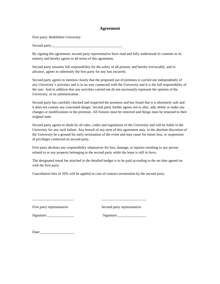#### **Agreement**

First party: Bethlehem University

Second party:

By signing this agreement, second party representative have read and fully understood its contents in its entirety and hereby agrees to all terms of this agreement.

Second party assumes full responsibility for the safety of all present, and hereby irrevocably, and in advance, agrees to indemnify the first party for any loss incurred.

Second party agrees to mention clearly that the proposed use of premises is carried out independently of any University's activities and is in no way connected with the University and it is the full responsibility of the user. And in addition that any activities carried out do not necessarily represent the opinion of the University, or its administration.

Second party has carefully checked and inspected the premises and has found that it is absolutely safe and it does not contain any concealed danger. Second party further agrees not to alter, add, delete or make any changes or modifications in the premises. All fixtures must be removed and things must be returned to their original state.

Second party agrees to abide by all rules, codes and regulations of the University and will be liable to the University for any such failure. Any breach of any term of this agreement may, in the absolute discretion of the University be a ground for early termination of the event and may cause for future loss, or suspension of privileges conferred on second party.

First party declines any responsibility whatsoever for loss, damage, or injuries resulting to any person related to or any property belonging to the second party while the lease is still in force.

The designated rental fee attached in the detailed budget is to be paid according to the set date agreed on with the first party.

Cancellation fees of 20% will be applied in case of contract termination by the second party.

\_\_\_\_\_\_\_\_\_\_\_\_\_\_\_\_\_\_\_\_\_\_\_ \_\_\_\_\_\_\_\_\_\_\_\_\_\_\_\_\_\_\_\_\_\_\_\_\_

First party representative Second party representative

Signature: Signature:

Date:\_\_\_\_\_\_\_\_\_\_\_\_\_\_\_\_\_\_\_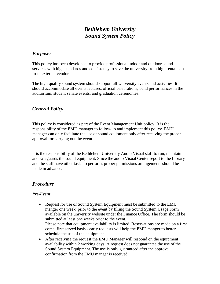#### *Bethlehem University Sound System Policy*

#### *Purpose:*

This policy has been developed to provide professional indoor and outdoor sound services with high standards and consistency to save the university from high rental cost from external vendors.

The high quality sound system should support all University events and activities. It should accommodate all events lectures, official celebrations, band performances in the auditorium, student senate events, and graduation ceremonies.

#### *General Policy*

This policy is considered as part of the Event Management Unit policy. It is the responsibility of the EMU manager to follow-up and implement this policy. EMU manager can only facilitate the use of sound equipment only after receiving the proper approval for carrying out the event.

It is the responsibility of the Bethlehem University Audio Visual staff to run, maintain and safeguards the sound equipment. Since the audio Visual Center report to the Library and the staff have other tasks to perform, proper permissions arrangements should be made in advance.

#### *Procedure*

#### *Pre-Event*

- Request for use of Sound System Equipment must be submitted to the EMU manger one week prior to the event by filling the Sound System Usage Form available on the university website under the Finance Office. The form should be submitted at least one weeks prior to the event. Please note that equipment availability is limited. Reservations are made on a first come, first served basis - early requests will help the EMU manger to better schedule the use of the equipment.
- After receiving the request the EMU Manager will respond on the equipment availability within 2 working days. A request does not guarantee the use of the Sound System Equipment. The use is only guaranteed after the approval confirmation from the EMU manger is received.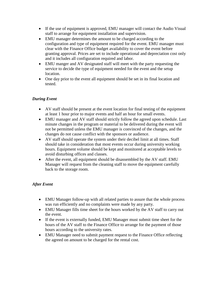- If the use of equipment is approved, EMU manager will contact the Audio Visual staff to arrange for equipment installation and supervision.
- EMU manager determines the amount to be charged according to the configuration and type of equipment required for the event. EMU manager must clear with the Finance Office budget availability to cover the event before granting approval. Prices are set to include operational and depreciation cost only and it includes all configuration required and labor.
- EMU manger and AV designated staff will meet with the party requesting the service to decide the type of equipment needed for the event and the setup location.
- One day prior to the event all equipment should be set in its final location and tested.

#### *During Event*

- AV staff should be present at the event location for final testing of the equipment at least 1 hour prior to major events and half an hour for small events.
- EMU manager and AV staff should strictly follow the agreed upon schedule. Last minute changes in the program or material to be delivered during the event will not be permitted unless the EMU manager is convinced of the changes, and the changes do not cause conflict with the sponsors or audience.
- AV staff should operate the system under their decibel limit at all times. Staff should take in consideration that most events occur during university working hours. Equipment volume should be kept and monitored at acceptable levels to avoid disturbing offices and classes.
- After the event, all equipment should be disassembled by the AV staff. EMU Manager will request from the cleaning staff to move the equipment carefully back to the storage room.

#### *After Event*

- EMU Manager follow-up with all related parties to assure that the whole process was run efficiently and no complaints were made by any party.
- EMU Manager fills time sheet for the hours worked by the AV staff to carry out the event.
- If the event is externally funded, EMU Manager must submit time sheet for the hours of the AV staff to the Finance Office to arrange for the payment of those hours according to the university rates.
- EMU Manager need to submit payment request to the Finance Office reflecting the agreed on amount to be charged for the rental cost.